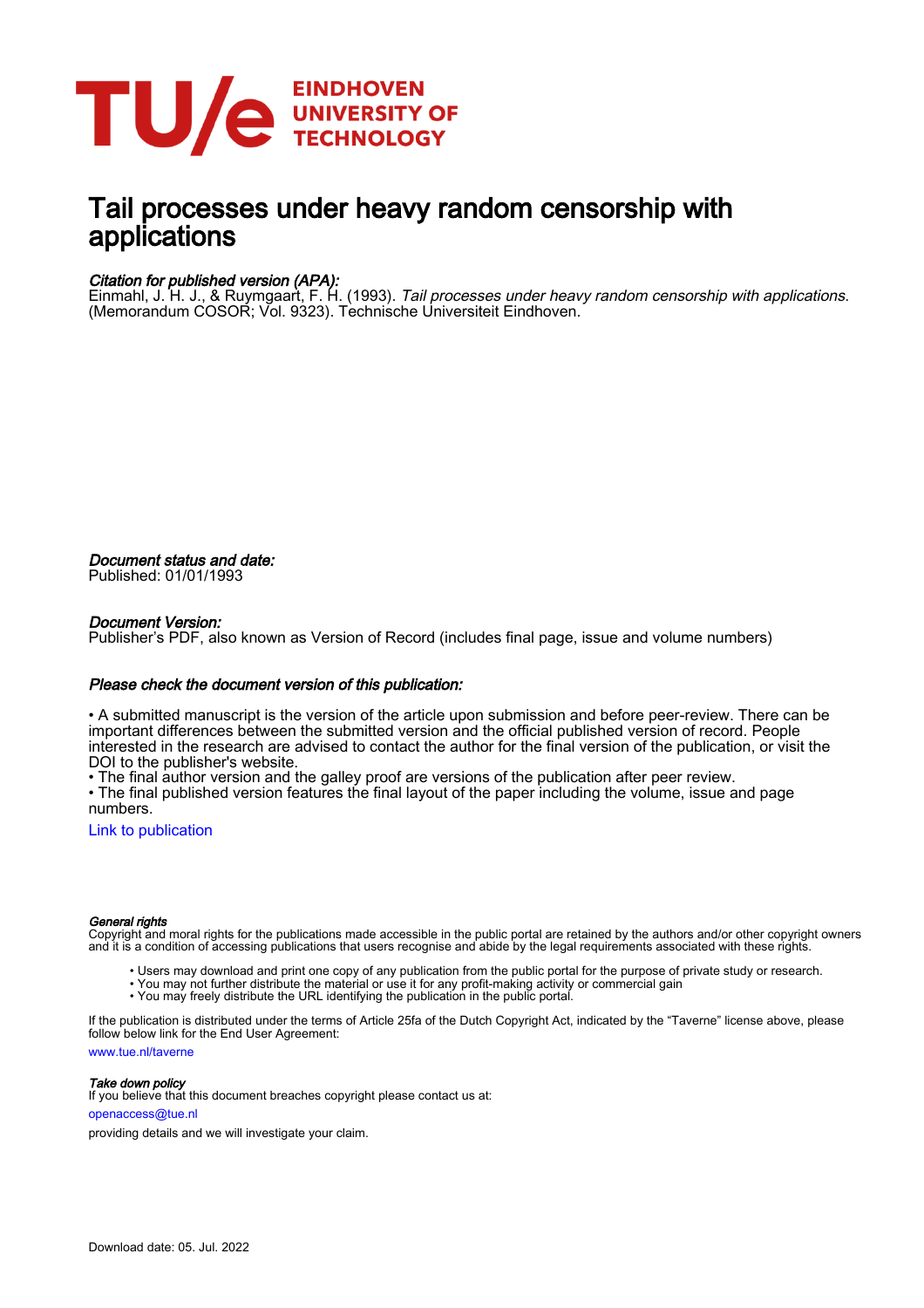

# Tail processes under heavy random censorship with applications

## Citation for published version (APA):

Einmahl, J. H. J., & Ruymgaart, F. H. (1993). Tail processes under heavy random censorship with applications. (Memorandum COSOR; Vol. 9323). Technische Universiteit Eindhoven.

Document status and date: Published: 01/01/1993

## Document Version:

Publisher's PDF, also known as Version of Record (includes final page, issue and volume numbers)

### Please check the document version of this publication:

• A submitted manuscript is the version of the article upon submission and before peer-review. There can be important differences between the submitted version and the official published version of record. People interested in the research are advised to contact the author for the final version of the publication, or visit the DOI to the publisher's website.

• The final author version and the galley proof are versions of the publication after peer review.

• The final published version features the final layout of the paper including the volume, issue and page numbers.

[Link to publication](https://research.tue.nl/en/publications/4fc32c21-a8b5-46d9-a0a1-5a2656349838)

#### General rights

Copyright and moral rights for the publications made accessible in the public portal are retained by the authors and/or other copyright owners and it is a condition of accessing publications that users recognise and abide by the legal requirements associated with these rights.

- Users may download and print one copy of any publication from the public portal for the purpose of private study or research.
- You may not further distribute the material or use it for any profit-making activity or commercial gain
- You may freely distribute the URL identifying the publication in the public portal.

If the publication is distributed under the terms of Article 25fa of the Dutch Copyright Act, indicated by the "Taverne" license above, please follow below link for the End User Agreement:

www.tue.nl/taverne

**Take down policy**<br>If you believe that this document breaches copyright please contact us at:

openaccess@tue.nl

providing details and we will investigate your claim.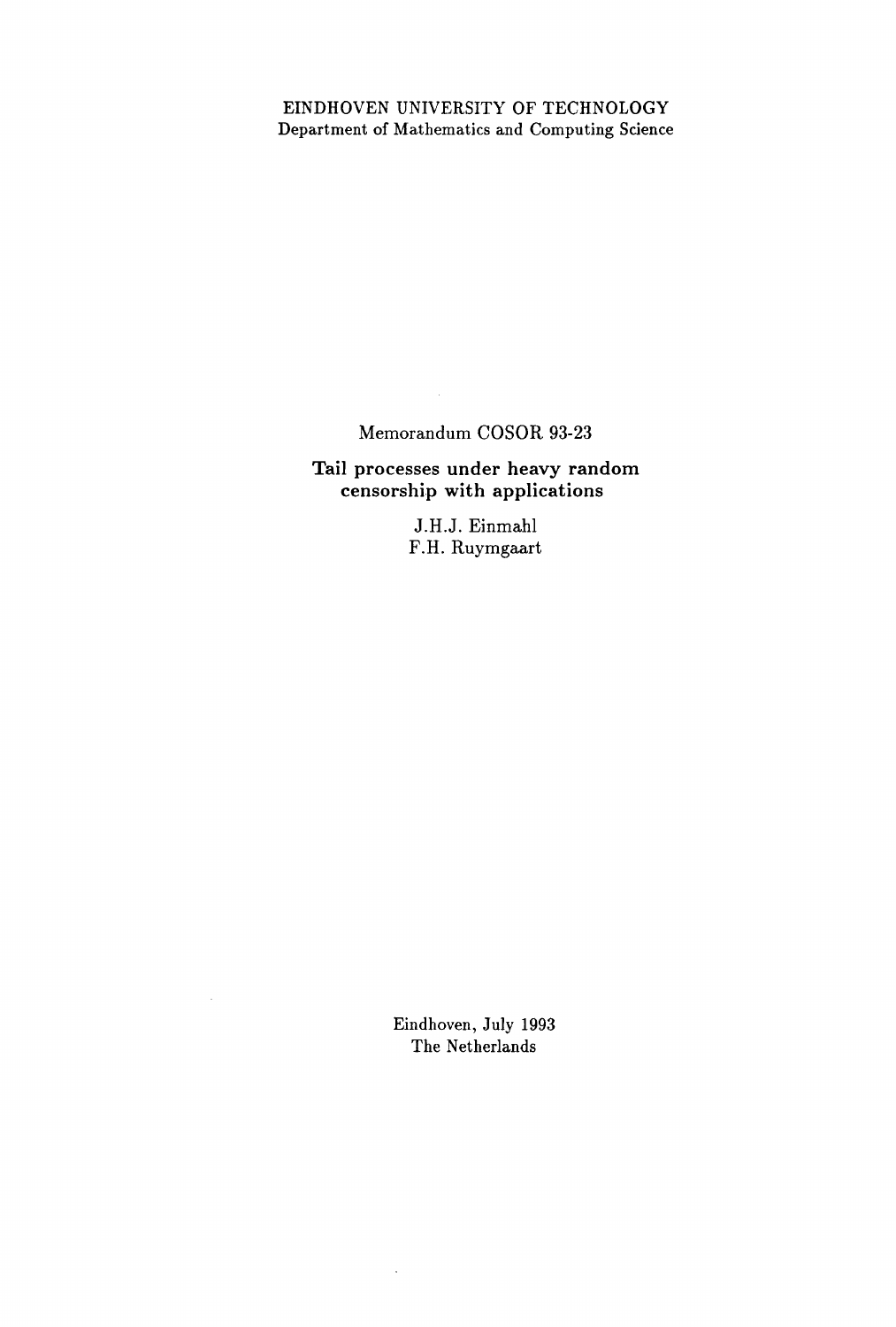## EINDHOVEN UNIVERSITY OF TECHNOLOGY Department of Mathematics and Computing Science

## Memorandum COSOR 93-23

 $\mathcal{L}_{\mathcal{L}}$ 

Tail processes under heavy random censorship with applications

> J.H.J. Einmahl F.H. Ruymgaart

Eindhoven, July 1993 The Netherlands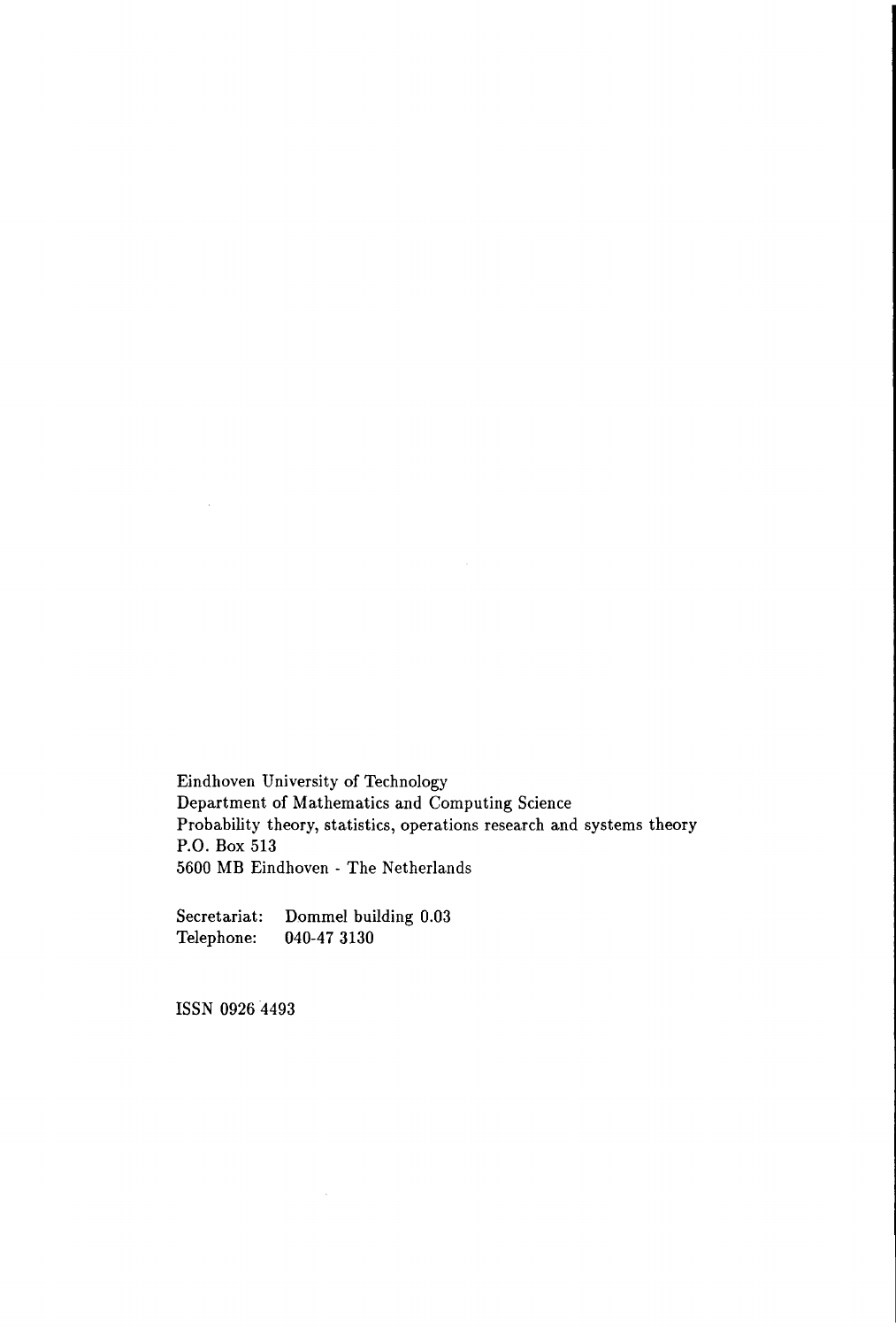Eindhoven University of Technology Department of Mathematics and Computing Science Probability theory, statistics, operations research and systems theory P.O. Box 513 5600 MB Eindhoven - The Netherlands

 $\sim$ 

Secretariat: Dommel building 0.03 Telephone: 040-47 3130

 $\mathcal{L}_{\text{max}}$ 

ISSN 0926 4493

 $\mathcal{A}$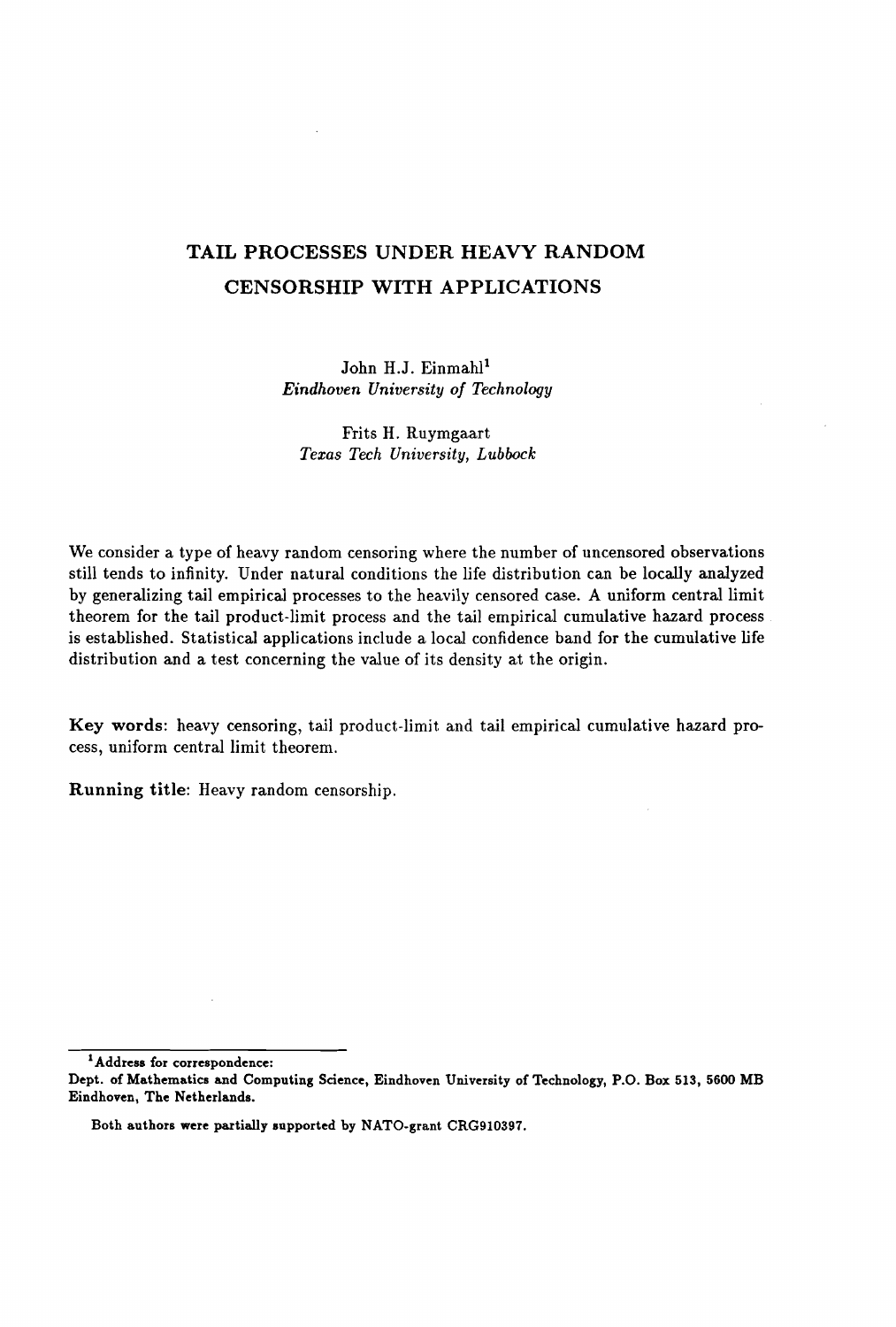# TAIL PROCESSES UNDER HEAVY RANDOM CENSORSHIP WITH APPLICATIONS

John H.J. Einmahl<sup>1</sup> *Eindhoven University of Technology*

Frits H. Ruymgaart *Texas Tech University, Lubbock*

We consider a type of heavy random censoring where the number of uncensored observations still tends to infinity. Under natural conditions the life distribution can be locally analyzed by generalizing tail empirical processes to the heavily censored case. A uniform central limit theorem for the tail product-limit process and the tail empirical cumulative hazard process is established. Statistical applications include a local confidence band for the cumulative life distribution and a test concerning the value of its density at the origin.

Key words: heavy censoring, tail product-limit and tail empirical cumulative hazard process, uniform central limit theorem.

Running title: Heavy random censorship.

1Address for correspondence:

Dept. of Mathematics and Computing Science, Eindhoven University of Technology, P.O. Box 513, 5600 MB Eindhoven, The Netherlands.

Both authors were partially supported by NATO-grant CRG910397.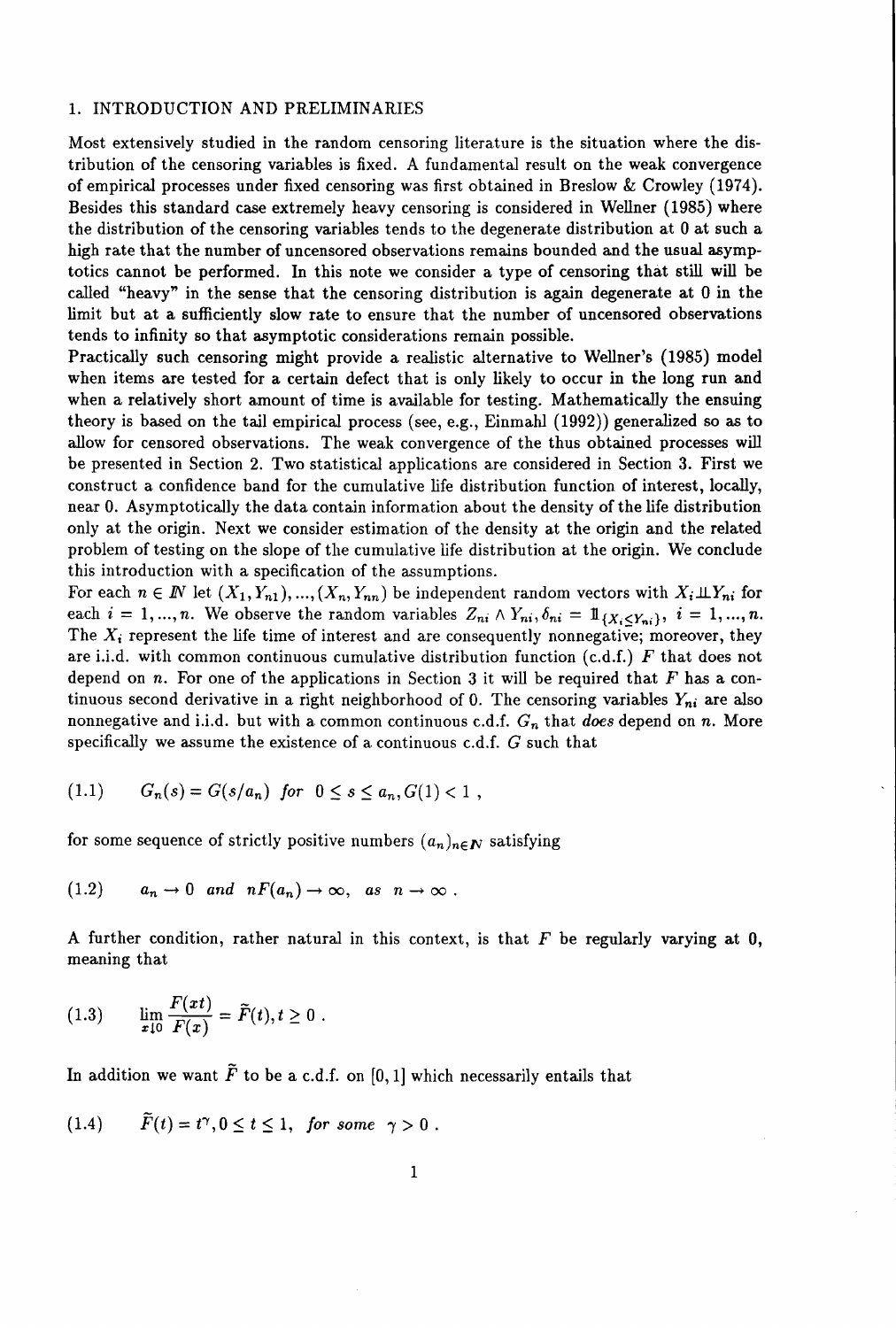## 1. INTRODUCTION AND PRELIMINARIES

Most extensively studied in the random censoring literature is the situation where the distribution of the censoring variables is fixed. A fundamental result on the weak convergence of empirical processes under fixed censoring was first obtained in Breslow & Crowley (1974). Besides this standard case extremely heavy censoring is considered in Wellner (1985) where the distribution of the censoring variables tends to the degenerate distribution at 0 at such a high rate that the number of uncensored observations remains bounded and the usual asymptotics cannot be performed. In this note we consider a type of censoring that still will be called "heavy" in the sense that the censoring distribution is again degenerate at 0 in the limit but at a sufficiently slow rate to ensure that the number of uncensored observations tends to infinity so that asymptotic considerations remain possible.

Practically such censoring might provide a realistic alternative to Wellner's (1985) model when items are tested for a certain defect that is only likely to occur in the long run and when a relatively short amount of time is available for testing. Mathematically the ensuing theory is based on the tail empirical process (see, e.g., Einmahl (1992)) generalized so as to allow for censored observations. The weak convergence of the thus obtained processes will be presented in Section 2. Two statistical applications are considered in Section 3. First we construct a confidence band for the cumulative life distribution function of interest, locally, near O. Asymptotically the data contain information about the density of the life distribution only at the origin. Next we consider estimation of the density at the origin and the related problem of testing on the slope of the cumulative life distribution at the origin. We conclude this introduction with a specification of the assumptions.

For each  $n \in \mathbb{N}$  let  $(X_1, Y_{n1}), ..., (X_n, Y_{nn})$  be independent random vectors with  $X_i \perp \!\!\! \perp Y_{ni}$  for each  $i = 1, ..., n$ . We observe the random variables  $Z_{ni} \wedge Y_{ni}, \delta_{ni} = 1, \ldots, n$ . The  $X_i$  represent the life time of interest and are consequently nonnegative; moreover, they are i.i.d. with common continuous cumulative distribution function (c.d.f.) *F* that does not depend on *n.* For one of the applications in Section 3 it will be required that F has a continuous second derivative in a right neighborhood of 0. The censoring variables  $Y_{ni}$  are also nonnegative and i.i.d. but with a common continuous c.d.f.  $G_n$  that *does* depend on *n*. More specifically we assume the existence of a continuous c.d.f.  $G$  such that

$$
(1.1) \tGn(s) = G(s/an) for 0 \le s \le an, G(1) < 1,
$$

for some sequence of strictly positive numbers  $(a_n)_{n\in\mathbb{N}}$  satisfying

$$
(1.2) \t a_n \to 0 \text{ and } nF(a_n) \to \infty, \text{ as } n \to \infty.
$$

A further condition, rather natural in this context, is that  $F$  be regularly varying at 0, meaning that

$$
(1.3) \qquad \lim_{x\downarrow 0} \frac{F(xt)}{F(x)} = \widetilde{F}(t), t \geq 0.
$$

In addition we want  $\tilde{F}$  to be a c.d.f. on [0,1] which necessarily entails that

(1.4) 
$$
\widetilde{F}(t) = t^{\gamma}, 0 \le t \le 1
$$
, for some  $\gamma > 0$ .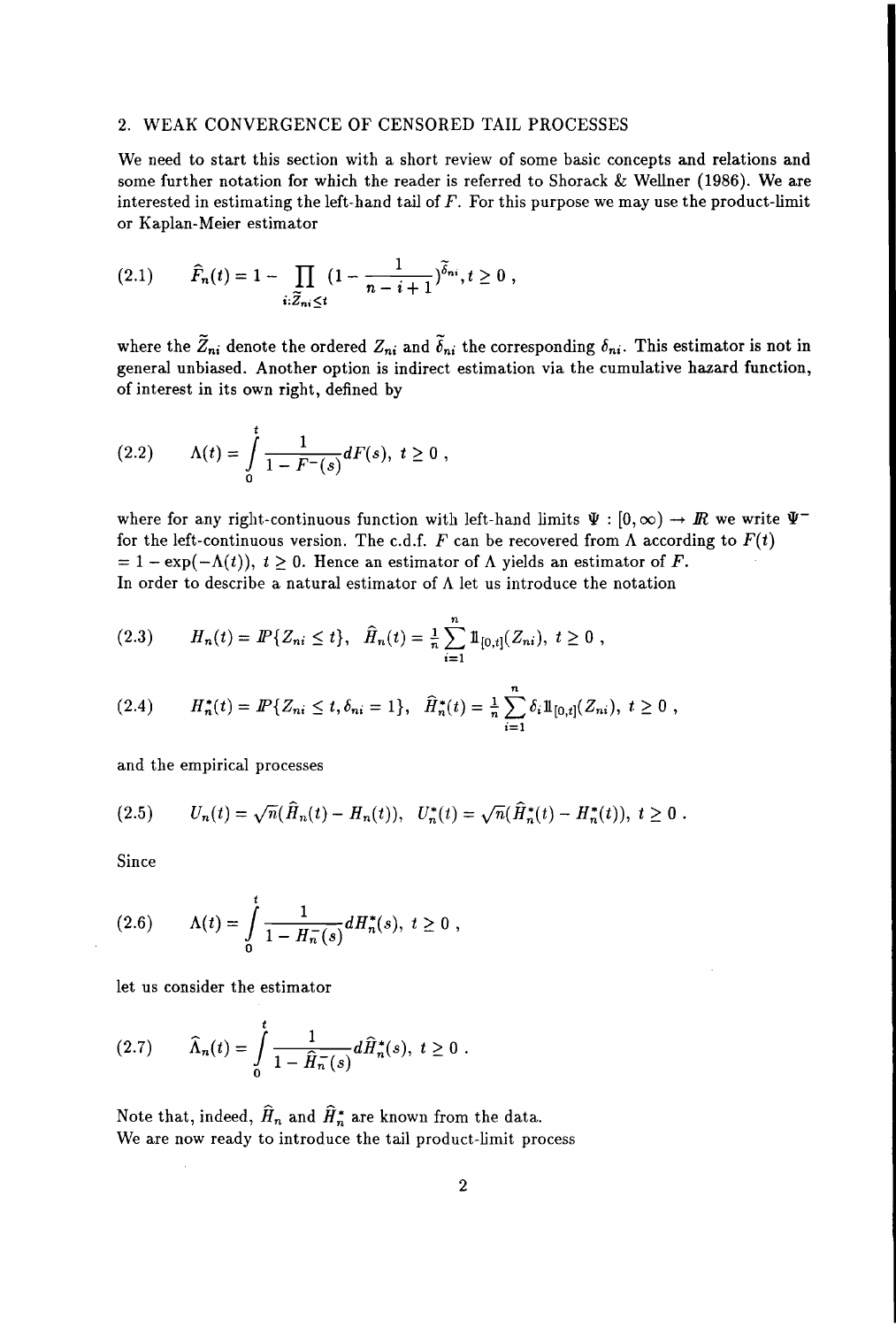## 2. WEAK CONVERGENCE OF CENSORED TAIL PROCESSES

We need to start this section with a short review of some basic concepts and relations and some further notation for which the reader is referred to Shorack & Wellner (1986). We are interested in estimating the left-hand tail of  $F$ . For this purpose we may use the product-limit or Kaplan-Meier estimator

$$
(2.1) \qquad \widehat{F}_n(t) = 1 - \prod_{i:\widetilde{Z}_{ni}\leq t} \left(1 - \frac{1}{n-i+1}\right)^{\widetilde{\delta}_{ni}}, t \geq 0 ,
$$

where the  $\tilde{Z}_{ni}$  denote the ordered  $Z_{ni}$  and  $\tilde{\delta}_{ni}$  the corresponding  $\delta_{ni}$ . This estimator is not in general unbiased. Another option is indirect estimation via the cumulative hazard function, of interest in its own right, defined by

$$
(2.2) \qquad \Lambda(t) = \int\limits_0^t \frac{1}{1 - F^{-}(s)} dF(s), \ t \geq 0,
$$

where for any right-continuous function with left-hand limits  $\Psi : [0,\infty) \to \mathbb{R}$  we write  $\Psi^$ for the left-continuous version. The c.d.f.  $F$  can be recovered from  $\Lambda$  according to  $F(t)$  $= 1 - \exp(-\Lambda(t))$ ,  $t \ge 0$ . Hence an estimator of  $\Lambda$  yields an estimator of F. In order to describe a natural estimator of  $\Lambda$  let us introduce the notation

$$
(2.3) \tH_n(t) = \tF\{Z_{ni} \leq t\}, \quad \widehat{H}_n(t) = \tfrac{1}{n} \sum_{i=1}^n \mathbb{1}_{[0,t]}(Z_{ni}), \ t \geq 0 \;,
$$

and the empirical processes

$$
(2.5) \t U_n(t) = \sqrt{n}(\widehat{H}_n(t) - H_n(t)), \quad U_n^*(t) = \sqrt{n}(\widehat{H}_n^*(t) - H_n^*(t)), \ t \ge 0.
$$

Since

(2.6) 
$$
\Lambda(t) = \int_{0}^{t} \frac{1}{1 - H_{n}^{-}(s)} dH_{n}^{*}(s), \ t \geq 0,
$$

let us consider the estimator

$$
(2.7) \qquad \widehat{\Lambda}_n(t) = \int_0^t \frac{1}{1 - \widehat{H}_n^-(s)} d\widehat{H}_n^*(s), \ t \ge 0 \ .
$$

Note that, indeed,  $\widehat{H}_n$  and  $\widehat{H}_n^*$  are known from the data. We are now ready to introduce the tail product-limit process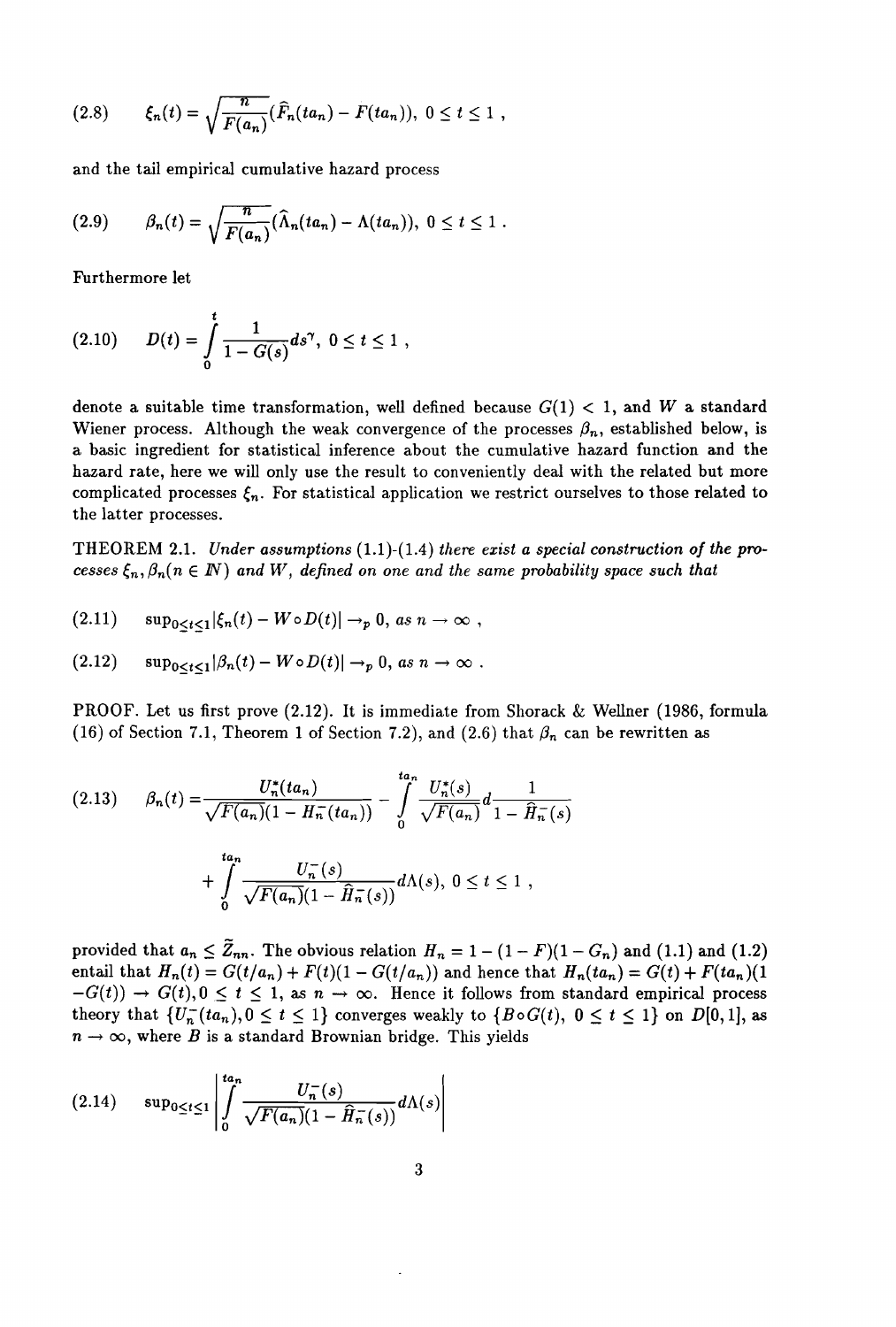$$
(2.8) \qquad \xi_n(t) = \sqrt{\frac{n}{F(a_n)}} (\widehat{F}_n(ta_n) - F(ta_n)), \ 0 \le t \le 1,
$$

and the tail empirical cumulative hazard process

$$
(2.9) \qquad \beta_n(t) = \sqrt{\frac{n}{F(a_n)}} (\widehat{\Lambda}_n(ta_n) - \Lambda(ta_n)), \ 0 \leq t \leq 1.
$$

Furthermore let

$$
(2.10) \t D(t) = \int_{0}^{t} \frac{1}{1 - G(s)} ds^{\gamma}, \ 0 \leq t \leq 1,
$$

denote a suitable time transformation, well defined because  $G(1) < 1$ , and W a standard Wiener process. Although the weak convergence of the processes  $\beta_n$ , established below, is a basic ingredient for statistical inference about the cumulative hazard function and the hazard rate, here we will only use the result to conveniently deal with the related but more complicated processes  $\xi_n$ . For statistical application we restrict ourselves to those related to the latter processes.

THEOREM 2.1. *Under assumptions* (1.1)-(1.4) *there exist a special construction of the processes*  $\xi_n$ ,  $\beta_n$  ( $n \in \mathbb{N}$ ) and W, defined on one and the same probability space such that

$$
(2.11) \quad \sup_{0\leq t\leq 1} |\xi_n(t) - W \circ D(t)| \to_p 0, \text{ as } n \to \infty ,
$$

$$
(2.12) \quad \sup_{0 \leq t \leq 1} |\beta_n(t) - W \circ D(t)| \to_p 0, \text{ as } n \to \infty.
$$

PROOF. Let us first prove (2.12). It is immediate from Shorack & Wellner (1986, formula (16) of Section 7.1, Theorem 1 of Section 7.2), and (2.6) that  $\beta_n$  can be rewritten as

$$
(2.13) \qquad \beta_n(t) = \frac{U_n^*(ta_n)}{\sqrt{F(a_n)}(1 - H_n^-(ta_n))} - \int_0^{ta_n} \frac{U_n^*(s)}{\sqrt{F(a_n)}} d\frac{1}{1 - \hat{H}_n^-(s)}
$$

$$
+ \int_0^{ta_n} \frac{U_n^-(s)}{\sqrt{F(a_n)}(1 - \hat{H}_n^-(s))} d\Lambda(s), \ 0 \le t \le 1,
$$

provided that  $a_n \leq \tilde{Z}_{nn}$ . The obvious relation  $H_n = 1 - (1 - F)(1 - G_n)$  and (1.1) and (1.2) entail that  $H_n(t) = G(t/a_n) + F(t)(1 - G(t/a_n))$  and hence that  $H_n(t a_n) = G(t) + F(t a_n)(1 - f(t a_n))$  $-G(t)$   $\rightarrow$   $G(t)$ ,  $0 \le t \le 1$ , as  $n \rightarrow \infty$ . Hence it follows from standard empirical process  $-G(t)$   $\rightarrow$   $G(t)$ ,  $0 \le t \le 1$ , as  $n \rightarrow \infty$ . Hence it follows from standard empirical process theory that  $\{U_n^-(ta_n), 0 \le t \le 1\}$  converges weakly to  $\{B \circ G(t), 0 \le t \le 1\}$  on  $D[0,1]$ , as  $n \to \infty$ , where *B* is a standard Brownian bridge. This yields

$$
(2.14) \quad \sup_{0\leq t\leq 1}\left|\int\limits_{0}^{ta_n}\frac{U_n^-(s)}{\sqrt{F(a_n)}(1-\hat{H}_n^-(s))}d\Lambda(s)\right|
$$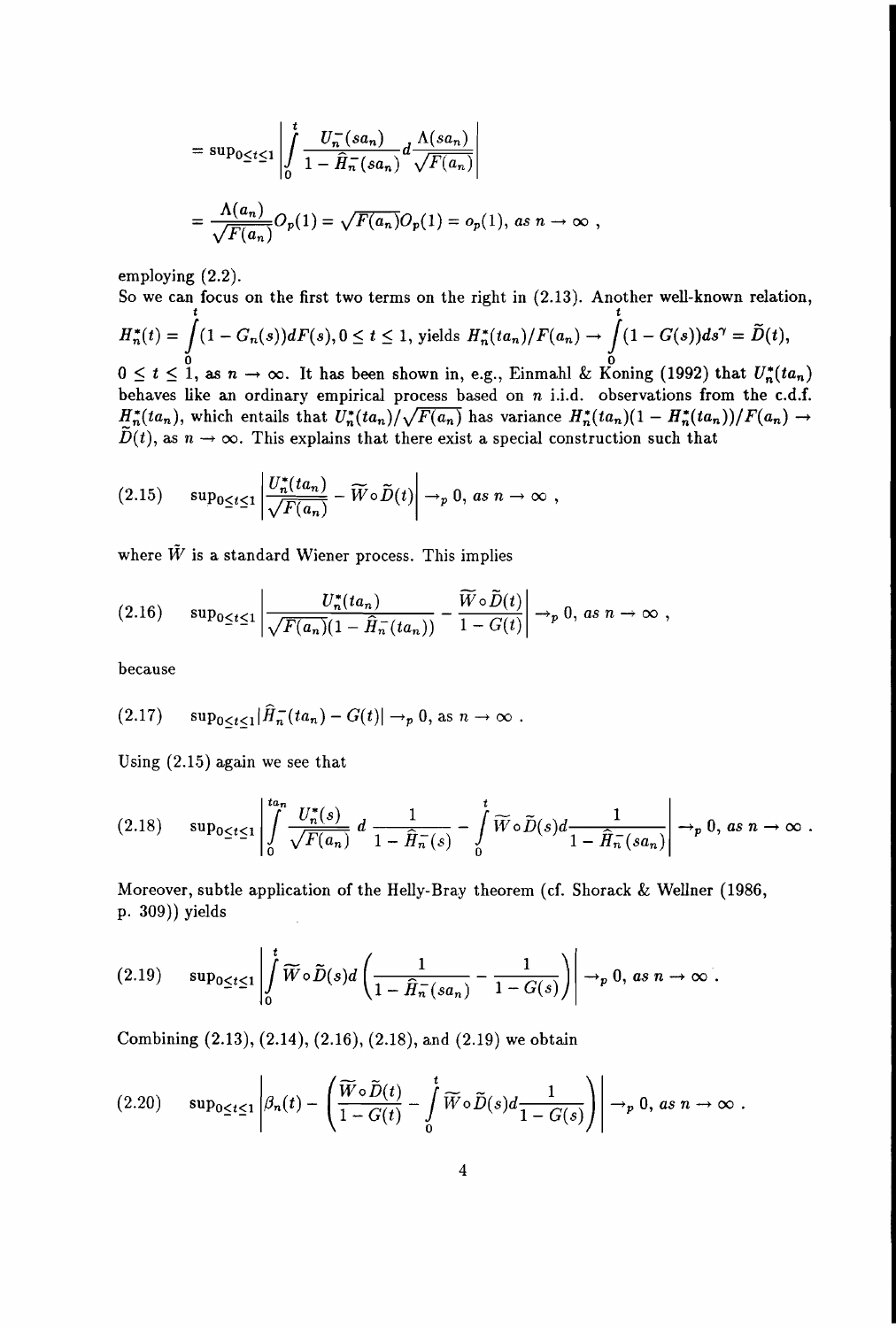$$
= \sup_{0 \leq t \leq 1} \left| \int_{0}^{t} \frac{U_n^-(sa_n)}{1 - \widehat{H}_n^-(sa_n)} d \frac{\Lambda(sa_n)}{\sqrt{F(a_n)}} \right|
$$
  

$$
= \frac{\Lambda(a_n)}{\sqrt{F(a_n)}} O_p(1) = \sqrt{F(a_n)} O_p(1) = o_p(1), \text{ as } n \to \infty,
$$

employing (2.2).

So we can focus on the first two terms on the right in (2.13). Another well-known relation, t to the contract of the contract of the contract of the contract of the contract of the contract of the contract of the contract of the contract of the contract of the contract of the contract of the contract of the cont  $H^*_n(t) = \int (1-G_n(s))dF(s), 0 \leq t \leq 1, \text{ yields } H^*_n(ta_n)/F(a_n) \rightarrow \int (1-G(s))ds^{\gamma} = \widetilde{D}(t),$  $0 \le t \le 1$ , as  $n \to \infty$ . It has been shown in, e.g., Einmahl & Koning (1992) that  $U_n^*(ta_n)$ behaves like an ordinary empirical process based on *n* i.i.d. observations from the c.d.f.  $H_n^*(ta_n)$ , which entails that  $U_n^*(ta_n)/\sqrt{F(a_n)}$  has variance  $H_n^*(ta_n)(1 - H_n^*(ta_n))/F(a_n) \rightarrow$  $\widetilde{D}(t)$ , as  $n \to \infty$ . This explains that there exist a special construction such that

(2.15) 
$$
\sup_{0\leq t\leq 1}\left|\frac{U_n^*(ta_n)}{\sqrt{F(a_n)}}-\widetilde{W}\circ\widetilde{D}(t)\right|\to_p 0, \text{ as } n\to\infty,
$$

where  $\tilde{W}$  is a standard Wiener process. This implies

$$
(2.16) \quad \sup_{0\leq t\leq 1}\left|\frac{U_n^*(ta_n)}{\sqrt{F(a_n)}(1-\widehat{H}_n^-(ta_n))}-\frac{\widetilde{W}\circ\widetilde{D}(t)}{1-G(t)}\right|\to_p 0, \text{ as } n\to\infty,
$$

because

$$
(2.17) \quad \sup_{0\leq t\leq 1}|\widehat{H}_n^-(ta_n)-G(t)|\to_p 0, \text{ as } n\to\infty.
$$

Using (2.15) again we see that

$$
(2.18) \quad \sup_{0\leq t\leq 1}\left|\int\limits_{0}^{t a_n} \frac{U_n^*(s)}{\sqrt{F(a_n)}} d\frac{1}{1-\widehat{H}_n^-(s)}-\int\limits_{0}^t \widetilde{W}\circ \widetilde{D}(s)d\frac{1}{1-\widehat{H}_n^-(sa_n)}\right|\to_p 0, \text{ as } n\to\infty.
$$

Moreover, subtle application of the Helly-Bray theorem (cf. Shorack & Wellner (1986, p. 309)) yields

$$
(2.19) \quad \sup_{0\leq t\leq 1}\left|\int\limits_{0}^{t}\widetilde{W}\circ\widetilde{D}(s)d\left(\frac{1}{1-\widehat{H}_{n}(sa_{n})}-\frac{1}{1-G(s)}\right)\right|\to_{p} 0, \text{ as } n\to\infty.
$$

Combining (2.13), (2.14), (2.16), (2.18), and (2.19) we obtain

$$
(2.20) \quad \sup\nolimits_{0 \leq t \leq 1} \left| \beta_n(t) - \left( \frac{\widetilde{W} \circ \widetilde{D}(t)}{1 - G(t)} - \int \limits_0^t \widetilde{W} \circ \widetilde{D}(s) d \frac{1}{1 - G(s)} \right) \right| \to_p 0, \text{ as } n \to \infty.
$$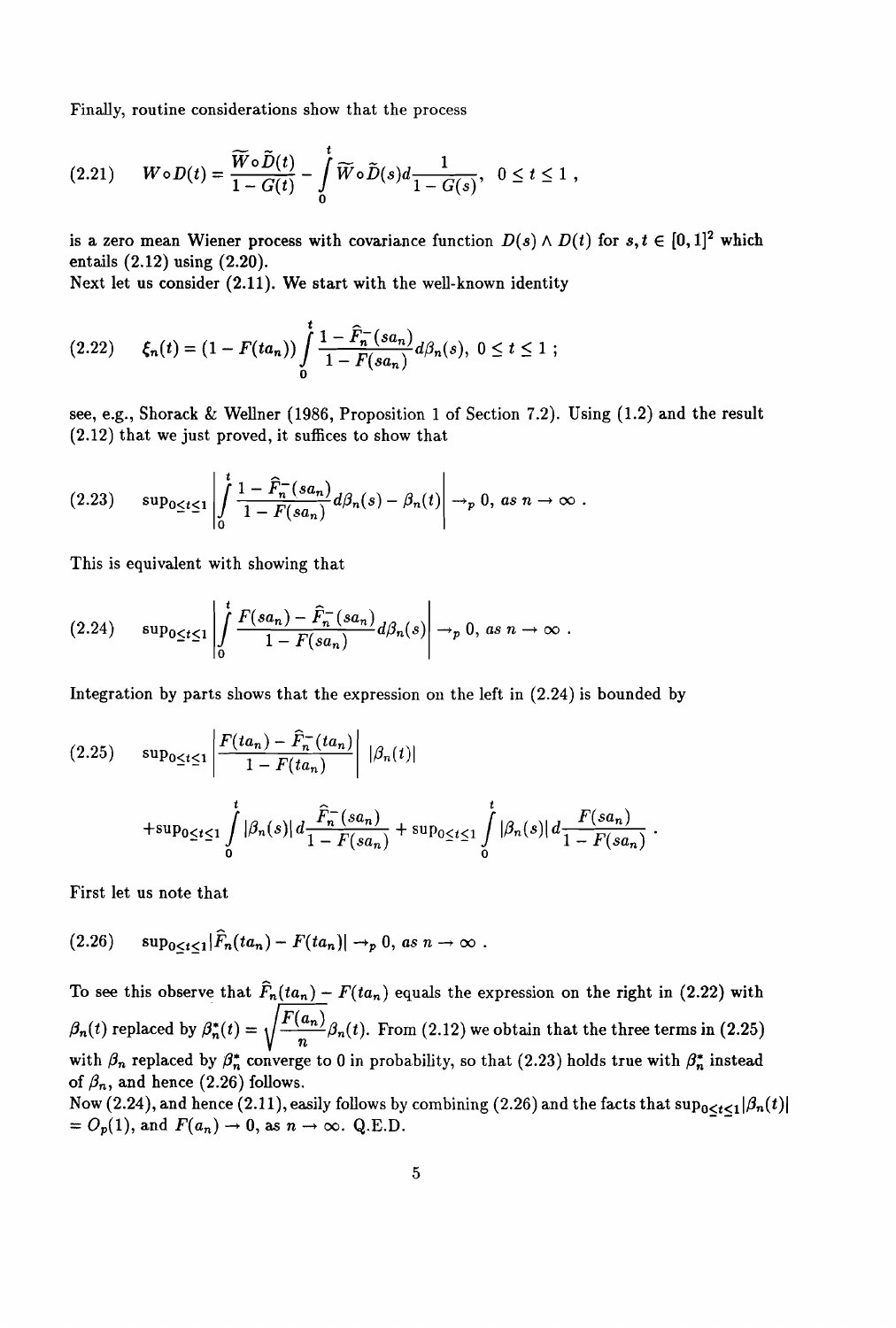Finally, routine considerations show that the process

$$
(2.21) \t W \circ D(t) = \frac{\widetilde{W} \circ \widetilde{D}(t)}{1 - G(t)} - \int\limits_{0}^{t} \widetilde{W} \circ \widetilde{D}(s) d \frac{1}{1 - G(s)}, \quad 0 \leq t \leq 1,
$$

is a zero mean Wiener process with covariance function  $D(s) \wedge D(t)$  for  $s, t \in [0,1]^2$  which entails (2.12) using (2.20).

Next let us consider (2.11). We start with the well-known identity

$$
(2.22) \qquad \xi_n(t) = (1 - F(t a_n)) \int\limits_0^t \frac{1 - \widehat{F}_n^-(s a_n)}{1 - F(s a_n)} d\beta_n(s), \ 0 \le t \le 1 ;
$$

see, e.g., Shorack & Wellner (1986, Proposition 1 of Section 7.2). Using (1.2) and the result (2.12) that we just proved, it suffices to show that

$$
(2.23) \quad \sup_{0\leq t\leq 1}\left|\int\limits_{0}^{t}\frac{1-\widehat{F}_{n}^{-}(sa_{n})}{1-F(sa_{n})}d\beta_{n}(s)-\beta_{n}(t)\right|\to_{p} 0, \text{ as } n\to\infty.
$$

This is equivalent with showing that

$$
(2.24) \quad \sup_{0\leq t\leq 1}\left|\int\limits_{0}^{t}\frac{F(sa_n)-\widehat{F}_n^-(sa_n)}{1-F(sa_n)}d\beta_n(s)\right|\to_p 0, \text{ as } n\to\infty.
$$

Integration by parts shows that the expression on the left in (2.24) is bounded by

$$
(2.25) \quad \sup_{0 \le t \le 1} \left| \frac{F(t a_n) - \hat{F}_n^-(t a_n)}{1 - F(t a_n)} \right| \, |\beta_n(t)|
$$
  
+
$$
\sup_{0 \le t \le 1} \int_0^t |\beta_n(s)| \, d \frac{\hat{F}_n^-(s a_n)}{1 - F(s a_n)} + \sup_{0 \le t \le 1} \int_0^t |\beta_n(s)| \, d \frac{F(s a_n)}{1 - F(s a_n)}
$$

First let us note that

$$
(2.26) \qquad \sup_{0\leq t\leq 1}|\widehat{F}_n(ta_n)-F(ta_n)|\to_p 0, \text{ as } n\to\infty.
$$

To see this observe that  $\hat{F}_n(ta_n) - F(ta_n)$  equals the expression on the right in (2.22) with  $\beta_n(t)$  replaced by  $\beta_n^*(t) = \sqrt{\frac{F(a_n)}{n}} \beta_n(t)$ . From (2.12) we obtain that the three terms in (2.25) with  $\beta_n$  replaced by  $\beta_n^*$  converge to 0 in probability, so that (2.23) holds true with  $\beta_n^*$  instead of  $\beta_n$ , and hence (2.26) follows.

Now (2.24), and hence (2.11), easily follows by combining (2.26) and the facts that  $\sup_{0\leq t\leq1}|\beta_n(t)|$  $= O_p(1)$ , and  $F(a_n) \to 0$ , as  $n \to \infty$ . Q.E.D.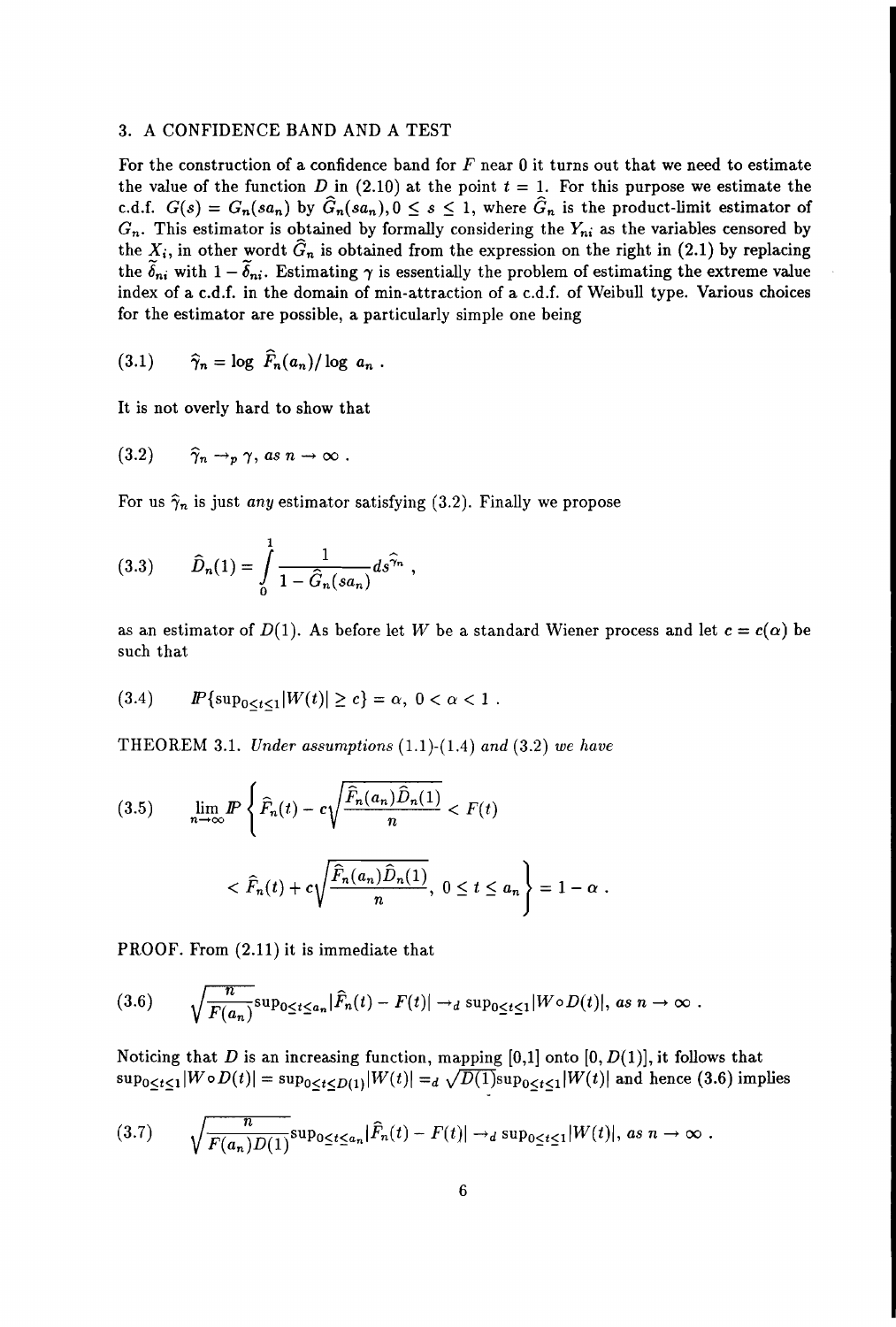## 3. A CONFIDENCE BAND AND A TEST

For the construction of a confidence band for  $F$  near 0 it turns out that we need to estimate the value of the function D in  $(2.10)$  at the point  $t = 1$ . For this purpose we estimate the c.d.f.  $G(s) = G_n(sa_n)$  by  $\widehat{G}_n(sa_n), 0 \le s \le 1$ , where  $\widehat{G}_n$  is the product-limit estimator of *Gn.* This estimator is obtained by formally considering the *Yni* as the variables censored by the  $X_i$ , in other wordt  $\hat{G}_n$  is obtained from the expression on the right in (2.1) by replacing the  $\delta_{ni}$  with  $1 - \delta_{ni}$ . Estimating  $\gamma$  is essentially the problem of estimating the extreme value index of a c.d.f. in the domain of min-attraction of a c.d.f. of Weibull type. Various choices for the estimator are possible, a particularly simple one being

$$
(3.1) \qquad \widehat{\gamma}_n = \log \ \widehat{F}_n(a_n)/\log \ a_n
$$

It is not overly hard to show that

$$
(3.2) \qquad \widehat{\gamma}_n \to_p \gamma, \text{ as } n \to \infty .
$$

For us  $\hat{\gamma}_n$  is just *any* estimator satisfying (3.2). Finally we propose

(3.3) 
$$
\hat{D}_n(1) = \int_0^1 \frac{1}{1 - \hat{G}_n(sa_n)} ds^{\hat{\gamma}_n}
$$

as an estimator of  $D(1)$ . As before let W be a standard Wiener process and let  $c = c(\alpha)$  be such that

$$
(3.4) \t\t\t  $\text{IP}_{0 \leq t \leq 1} |W(t)| \geq c$ } = \alpha, 0 < \alpha < 1.
$$

THEOREM 3.1. *Under assumptions* (1.1)-(1.4) *and* (3.2) *we have*

(3.5) 
$$
\lim_{n \to \infty} I\!\!P \left\{ \widehat{F}_n(t) - c \sqrt{\frac{\widehat{F}_n(a_n)\widehat{D}_n(1)}{n}} < F(t) \right\}
$$

$$
< \widehat{F}_n(t) + c \sqrt{\frac{\widehat{F}_n(a_n)\widehat{D}_n(1)}{n}}, \ 0 \le t \le a_n \right\} = 1 - \alpha \; .
$$

PROOF. From (2.11) it is immediate that

$$
(3.6) \qquad \sqrt{\frac{n}{F(a_n)}} \sup_{0 \leq t \leq a_n} |\widehat{F}_n(t) - F(t)| \to_d \sup_{0 \leq t \leq 1} |W \circ D(t)|, \text{ as } n \to \infty
$$

Noticing that D is an increasing function, mapping  $[0,1]$  onto  $[0, D(1)]$ , it follows that  $\sup_{0\leq t\leq 1}|W\circ D(t)|=\sup_{0\leq t\leq D(1)}|W(t)| =_d \sqrt{D(1)}\sup_{0\leq t\leq 1}|W(t)|$  and hence (3.6) implies

$$
(3.7) \qquad \sqrt{\frac{n}{F(a_n)D(1)}}\sup_{0\leq t\leq a_n}|\widehat{F}_n(t)-F(t)|\to_d \sup_{0\leq t\leq 1}|W(t)|, \text{ as } n\to\infty.
$$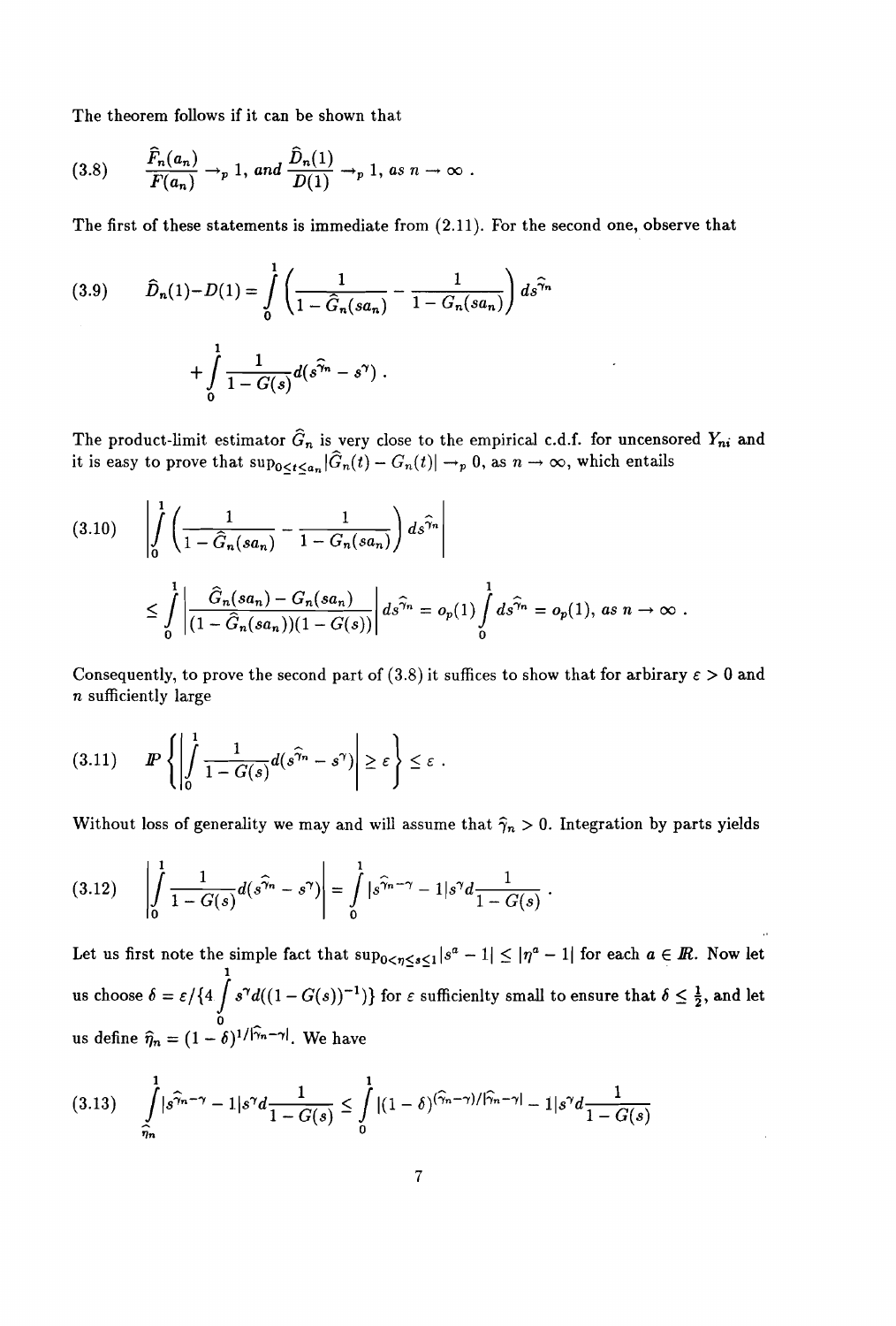The theorem follows if it can be shown that

$$
(3.8) \qquad \frac{\widehat{F}_n(a_n)}{F(a_n)} \to_p 1, \text{ and } \frac{\widehat{D}_n(1)}{D(1)} \to_p 1, \text{ as } n \to \infty .
$$

The first of these statements is immediate from (2.11). For the second one, observe that

(3.9) 
$$
\hat{D}_n(1) - D(1) = \int_0^1 \left( \frac{1}{1 - \hat{G}_n(sa_n)} - \frac{1}{1 - G_n(sa_n)} \right) ds^{\hat{\gamma}_n} + \int_0^1 \frac{1}{1 - G(s)} d(s^{\hat{\gamma}_n} - s^{\gamma}).
$$

The product-limit estimator  $\widehat{G}_n$  is very close to the empirical c.d.f. for uncensored  $Y_{ni}$  and it is easy to prove that  $\sup_{0\leq t\leq a_n}|\widehat{G}_n(t)-G_n(t)|\to_p 0,$  as  $n\to\infty,$  which entails

$$
(3.10) \qquad \left| \int_{0}^{1} \left( \frac{1}{1 - \hat{G}_n(sa_n)} - \frac{1}{1 - G_n(sa_n)} \right) ds^{\hat{\gamma}_n} \right|
$$
  

$$
\leq \int_{0}^{1} \left| \frac{\hat{G}_n(sa_n) - G_n(sa_n)}{(1 - \hat{G}_n(sa_n))(1 - G(s))} \right| ds^{\hat{\gamma}_n} = o_p(1) \int_{0}^{1} ds^{\hat{\gamma}_n} = o_p(1), \text{ as } n \to \infty.
$$

Consequently, to prove the second part of (3.8) it suffices to show that for arbirary  $\varepsilon > 0$  and *n* sufficiently large

(3.11)

Without loss of generality we may and will assume that  $\hat{\gamma}_n > 0$ . Integration by parts yields

$$
(3.12) \qquad \left| \int_{0}^{1} \frac{1}{1 - G(s)} d(s^{\widehat{\gamma}_{n}} - s^{\gamma}) \right| = \int_{0}^{1} |s^{\widehat{\gamma}_{n} - \gamma} - 1| s^{\gamma} d \frac{1}{1 - G(s)} \, .
$$

Let us first note the simple fact that  $\sup_{0 \leq \eta \leq s \leq 1} |s^a - 1| \leq |\eta^a - 1|$  for each  $a \in \mathbb{R}$ . Now let 1 - us choose  $\delta=\varepsilon/\{4$   $\int s^{\gamma}d((1-G(s))^{-1})\}$  for  $\varepsilon$  sufficienlty small to ensure that  $\delta\leq\frac{1}{2},$  and let o us define  $\hat{\eta}_n = (1 - \delta)^{1/|\hat{\gamma}_n - \gamma|}$ . We have

$$
(3.13) \qquad \int\limits_{\widehat{\eta}_n}^1 |s^{\widehat{\gamma}_n - \gamma} - 1|s^{\gamma} d \frac{1}{1 - G(s)} \le \int\limits_0^1 |(1 - \delta)^{(\widehat{\gamma}_n - \gamma) / |\widehat{\gamma}_n - \gamma|} - 1|s^{\gamma} d \frac{1}{1 - G(s)}
$$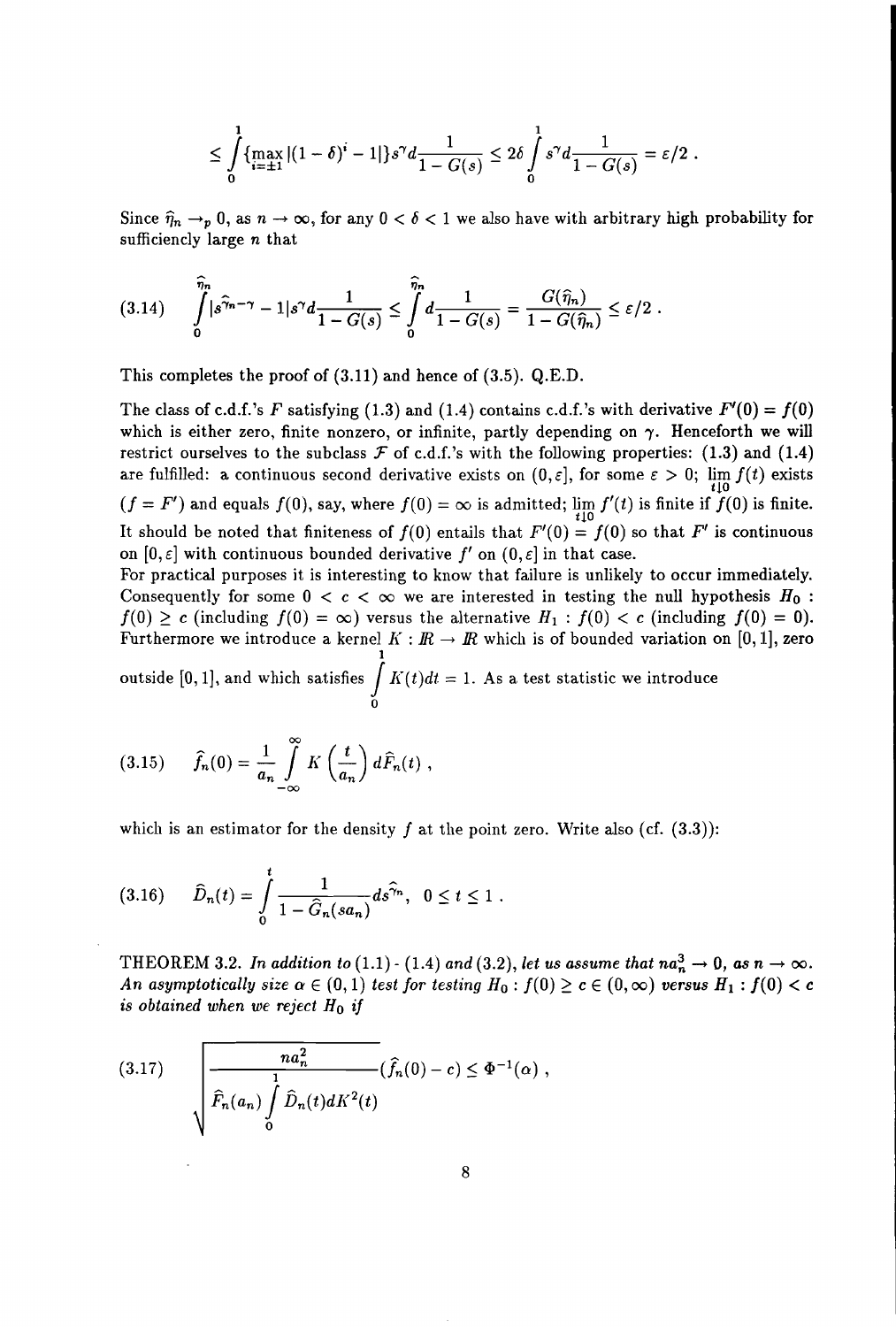$$
\leq \int_{0}^{1} \{\max_{i=\pm 1} |(1-\delta)^{i}-1|\} s^{\gamma} d \frac{1}{1-G(s)} \leq 2\delta \int_{0}^{1} s^{\gamma} d \frac{1}{1-G(s)} = \varepsilon/2.
$$

Since  $\hat{\eta}_n \to_p 0$ , as  $n \to \infty$ , for any  $0 < \delta < 1$  we also have with arbitrary high probability for sufficiencly large *n* that

$$
(3.14) \qquad \int_{0}^{\widehat{\eta}_n} |s^{\widehat{\gamma}_n - \gamma} - 1|s^{\gamma} d \frac{1}{1 - G(s)} \leq \int_{0}^{\widehat{\eta}_n} d \frac{1}{1 - G(s)} = \frac{G(\widehat{\eta}_n)}{1 - G(\widehat{\eta}_n)} \leq \varepsilon/2.
$$

This completes the proof of (3.11) and hence of (3.5). Q.E.D.

The class of c.d.f.'s *F* satisfying (1.3) and (1.4) contains c.d.f.'s with derivative  $F'(0) = f(0)$ which is either zero, finite nonzero, or infinite, partly depending on  $\gamma$ . Henceforth we will restrict ourselves to the subclass  $\mathcal F$  of c.d.f.'s with the following properties: (1.3) and (1.4) are fulfilled: a continuous second derivative exists on  $(0, \varepsilon]$ , for some  $\varepsilon > 0$ ;  $\lim_{t \downarrow 0} f(t)$  exists  $(f = F')$  and equals  $f(0)$ , say, where  $f(0) = \infty$  is admitted;  $\lim_{t \downarrow 0} f'(t)$  is finite if  $f(0)$  is finite. It should be noted that finiteness of  $f(0)$  entails that  $F'(0) = f(0)$  so that  $F'$  is continuous on  $[0, \varepsilon]$  with continuous bounded derivative f' on  $(0, \varepsilon]$  in that case.

For practical purposes it is interesting to know that failure is unlikely to occur immediately. Consequently for some  $0 < c < \infty$  we are interested in testing the null hypothesis  $H_0$ :  $f(0) \ge c$  (including  $f(0) = \infty$ ) versus the alternative  $H_1 : f(0) < c$  (including  $f(0) = 0$ ). Furthermore we introduce a kernel  $K : \mathbb{R} \to \mathbb{R}$  which is of bounded variation on [0, 1], zero 1 outside [0, 1], and which satisfies  $\displaystyle{\int^1}K(t)dt=1.$  As a test statistic we introduce

o

$$
(3.15) \qquad \widehat{f}_n(0) = \frac{1}{a_n} \int_{-\infty}^{\infty} K\left(\frac{t}{a_n}\right) d\widehat{F}_n(t) ,
$$

which is an estimator for the density f at the point zero. Write also (cf.  $(3.3)$ ):

$$
(3.16) \qquad \widehat{D}_n(t) = \int_0^t \frac{1}{1 - \widehat{G}_n(sa_n)} ds^{\widehat{\gamma}_n}, \ \ 0 \le t \le 1 \ .
$$

THEOREM 3.2. In addition to (1.1) - (1.4) and (3.2), let us assume that  $na_n^3 \to 0$ , as  $n \to \infty$ . *An* asymptotically size  $\alpha \in (0,1)$  *test* for *testing*  $H_0: f(0) \ge c \in (0,\infty)$  *versus*  $H_1: f(0) < c$ *is obtained* when we reject  $H_0$  *if* 

(3.17) 
$$
\sqrt{\frac{na_n^2}{\hat{F}_n(a_n)\int\limits_0^1 \hat{D}_n(t)dK^2(t)}}(\hat{f}_n(0)-c) \leq \Phi^{-1}(\alpha),
$$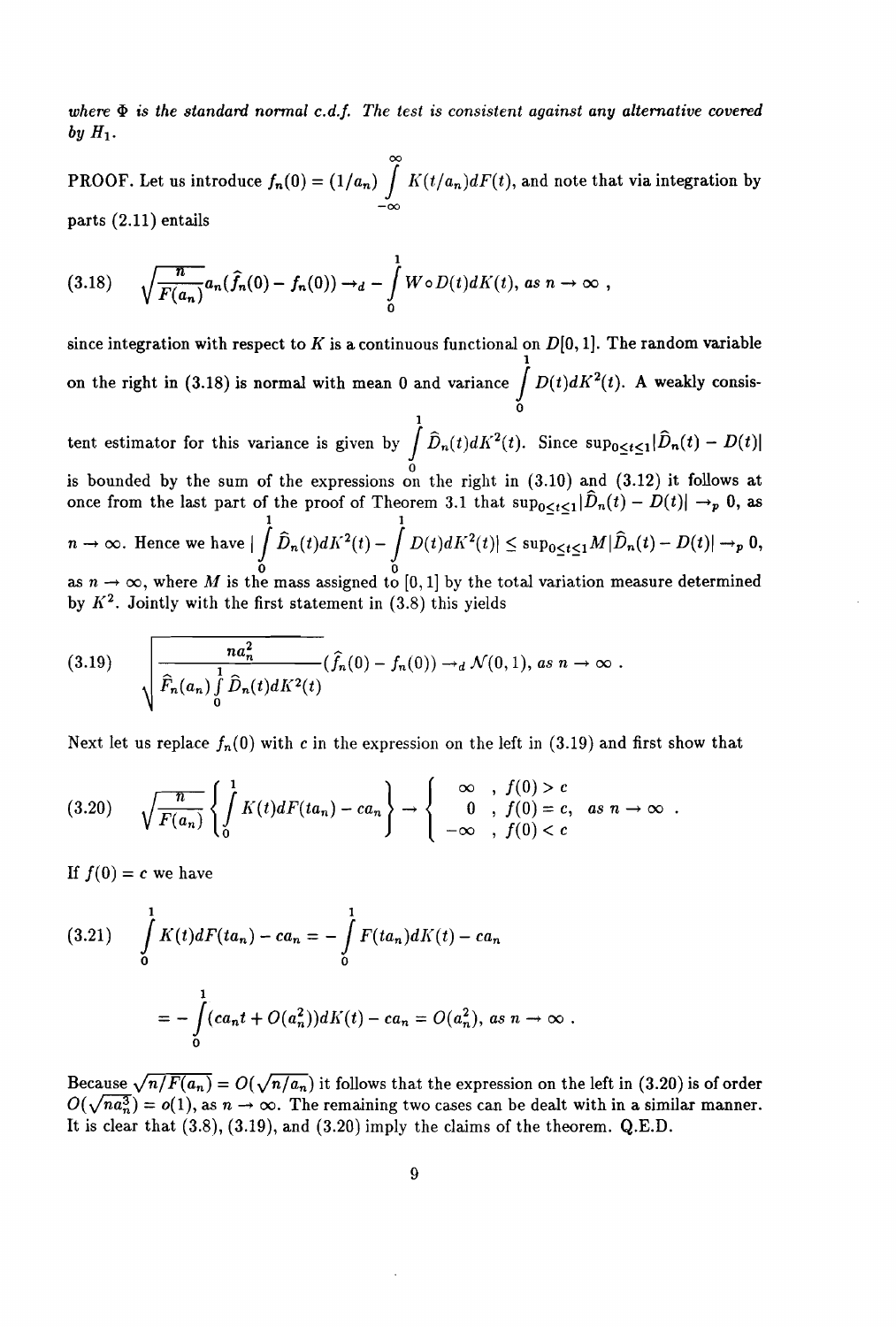$where \Phi$  *is the standard normal c.d.f.* The test *is consistent against any alternative covered*  $by H_1$ .

် PROOF. Let us introduce  $f_n(0) = (1/a_n) \int K(t/a_n)dF(t)$ , and note that via integration by  $-\infty$ parts (2.11) entails

$$
(3.18) \qquad \sqrt{\frac{n}{F(a_n)}}a_n(\widehat{f}_n(0)-f_n(0))\rightarrow_d -\int\limits_0^1 W\circ D(t)dK(t),\text{ as } n\rightarrow\infty,
$$

since integration with respect to *K* is a continuous functional on  $D[0, 1]$ . The random variable 1 on the right in (3.18) is normal with mean 0 and variance  $\int D(t)dK^2(t)$ . A weakly consistent estimator for this variance is given by  $\int_{0}^{1} \widehat{D}_{n}(t) dK^{2}(t)$ . Since  $\sup_{0 \leq t \leq 1} |\widehat{D}_{n}(t) - D(t)|$ o is bounded by the sum of the expressions on the right in (3.10) and (3.12) it follows at once from the last part of the proof of Theorem 3.1 that  $\sup_{0 \leq t \leq 1} |\hat{D}_n(t) - D(t)| \to_p 0$ , as 1  $\qquad$  1  $\qquad$   $\qquad$  1  $n\to\infty.$  Hence we have  $|\int \widehat{D}_n(t) dK^2(t) - \int D(t) dK^2(t)| \le \sup_{0\le t\le 1} M |\widehat{D}_n(t) - D(t)| \to_p 0,$  $\begin{matrix}0&0\end{matrix}$ as  $n \to \infty,$  where  $M$  is the mass assigned to  $[0,1]$  by the total variation measure determined by  $K^2$ . Jointly with the first statement in (3.8) this yields

(3.19) 
$$
\sqrt{\frac{na_n^2}{\widehat{F}_n(a_n)\int\limits_0^1 \widehat{D}_n(t)dK^2(t)}}(\widehat{f}_n(0)-f_n(0))\to_d \mathcal{N}(0,1), \text{ as } n\to\infty.
$$

Next let us replace  $f_n(0)$  with c in the expression on the left in (3.19) and first show that

$$
(3.20) \qquad \sqrt{\frac{n}{F(a_n)}}\left\{\int\limits_0^1 K(t)dF(t a_n)-ca_n\right\}\to\left\{\begin{array}{rcl}\infty,& f(0)>c\\0&,\ f(0)=c,& as\ n\to\infty\\-\infty&,\ f(0)
$$

If  $f(0) = c$  we have

$$
(3.21) \int_{0}^{1} K(t)dF(t a_n) - c a_n = -\int_{0}^{1} F(t a_n) dK(t) - c a_n
$$

$$
= -\int_{0}^{1} (c a_n t + O(a_n^2)) dK(t) - c a_n = O(a_n^2), \text{ as } n \to \infty.
$$

Because  $\sqrt{n/F(a_n)} = O(\sqrt{n/a_n})$  it follows that the expression on the left in (3.20) is of order  $O(\sqrt{n}a_n^3) = o(1)$ , as  $n \to \infty$ . The remaining two cases can be dealt with in a similar manner. It is clear that (3.8), (3.19), and (3.20) imply the claims of the theorem. Q.E.D.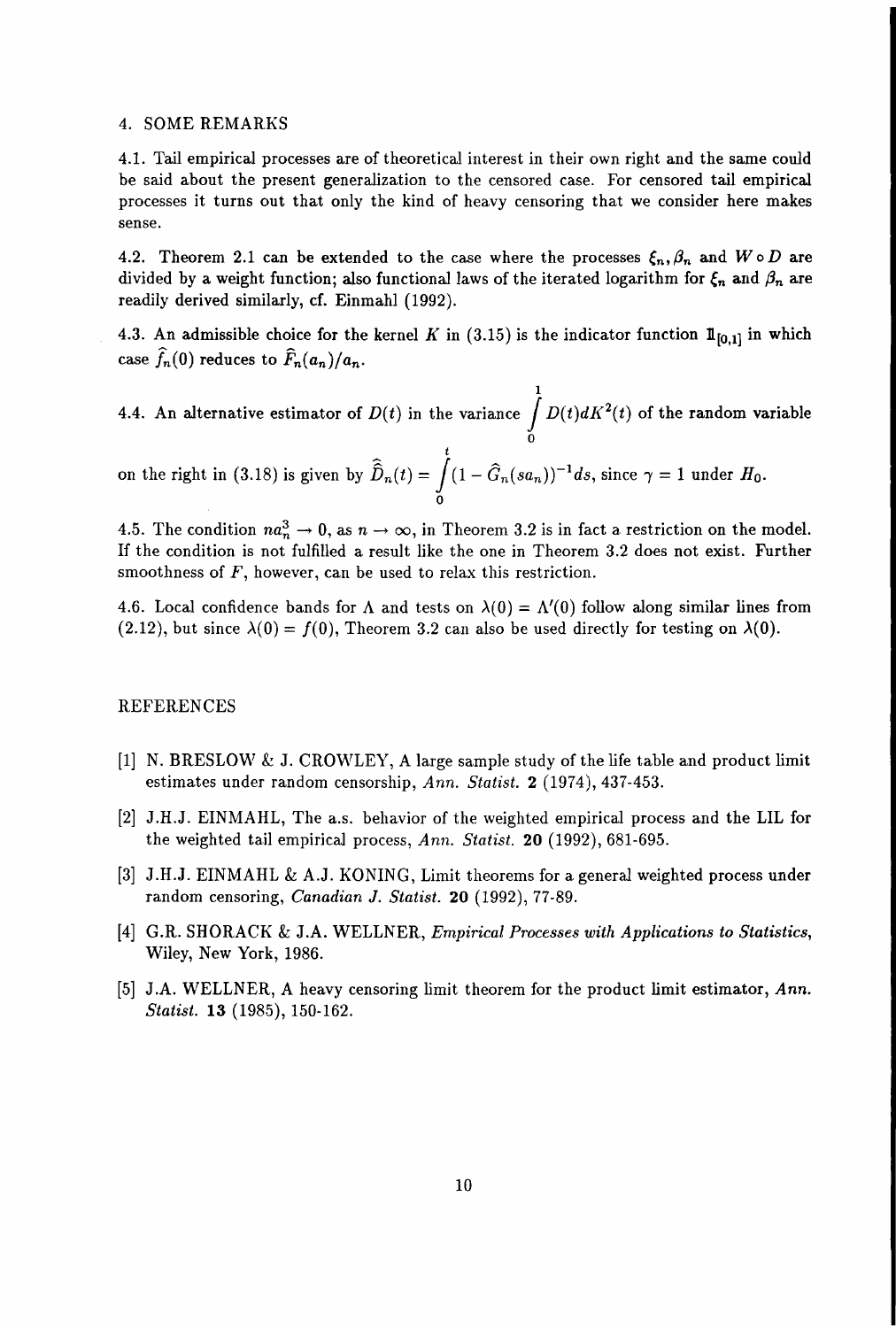## 4. SOME REMARKS

4.1. Tail empirical processes are of theoretical interest in their own right and the same could be said about the present generalization to the censored case. For censored tail empirical processes it turns out that only the kind of heavy censoring that we consider here makes sense.

4.2. Theorem 2.1 can be extended to the case where the processes  $\xi_n, \beta_n$  and  $W \circ D$  are divided by a weight function; also functional laws of the iterated logarithm for  $\xi_n$  and  $\beta_n$  are readily derived similarly, cf. Einmahl (1992).

4.3. An admissible choice for the kernel K in (3.15) is the indicator function  $\mathbb{1}_{[0,1]}$  in which case  $\widehat{f}_n(0)$  reduces to  $\widehat{F}_n(a_n)/a_n$ .

4.4. An alternative estimator of  $D(t)$  in the variance  $\int^1 D(t) dK^2(t)$  of the random variable o

on the right in (3.18) is given by  $\widehat{\widehat{D}}_n(t) = \int_0^t (1-\widehat{G}_n(sa_n))^{-1}ds,$  since  $\gamma = 1$  under  $H_0$ . o

4.5. The condition  $na_n^3 \to 0$ , as  $n \to \infty$ , in Theorem 3.2 is in fact a restriction on the model. If the condition is not fulfilled a result like the one in Theorem 3.2 does not exist. Further smoothness of  $F$ , however, can be used to relax this restriction.

4.6. Local confidence bands for  $\Lambda$  and tests on  $\lambda(0) = \Lambda'(0)$  follow along similar lines from  $(2.12)$ , but since  $\lambda(0) = f(0)$ , Theorem 3.2 can also be used directly for testing on  $\lambda(0)$ .

## REFERENCES

- [1] N. BRESLOW & J. CROWLEY, A large sample study of the life table and product limit estimates under random censorship, *Ann. Statist.* 2 (1974), 437-453.
- [2] J.H.J. EINMAHL, The a.s. behavior of the weighted empirical process and the LIL for the weighted tail empirical process, Ann. Statist. 20 (1992), 681-695.
- [3] J.H.J. EINMAHL & A.J. KONING, Limit theorems for a general weighted process under random censoring, *Canadian* J. *Statist.* **20** (1992), 77-89.
- [4] G.R. SHORACK & J.A. WELLNER, *Empirical Processes with Applications to Statistics,* Wiley, New York, 1986.
- [5] J.A. WELLNER, A heavy censoring limit theorem for the product limit estimator, *Ann. Statist.* **13** (1985), 150-162.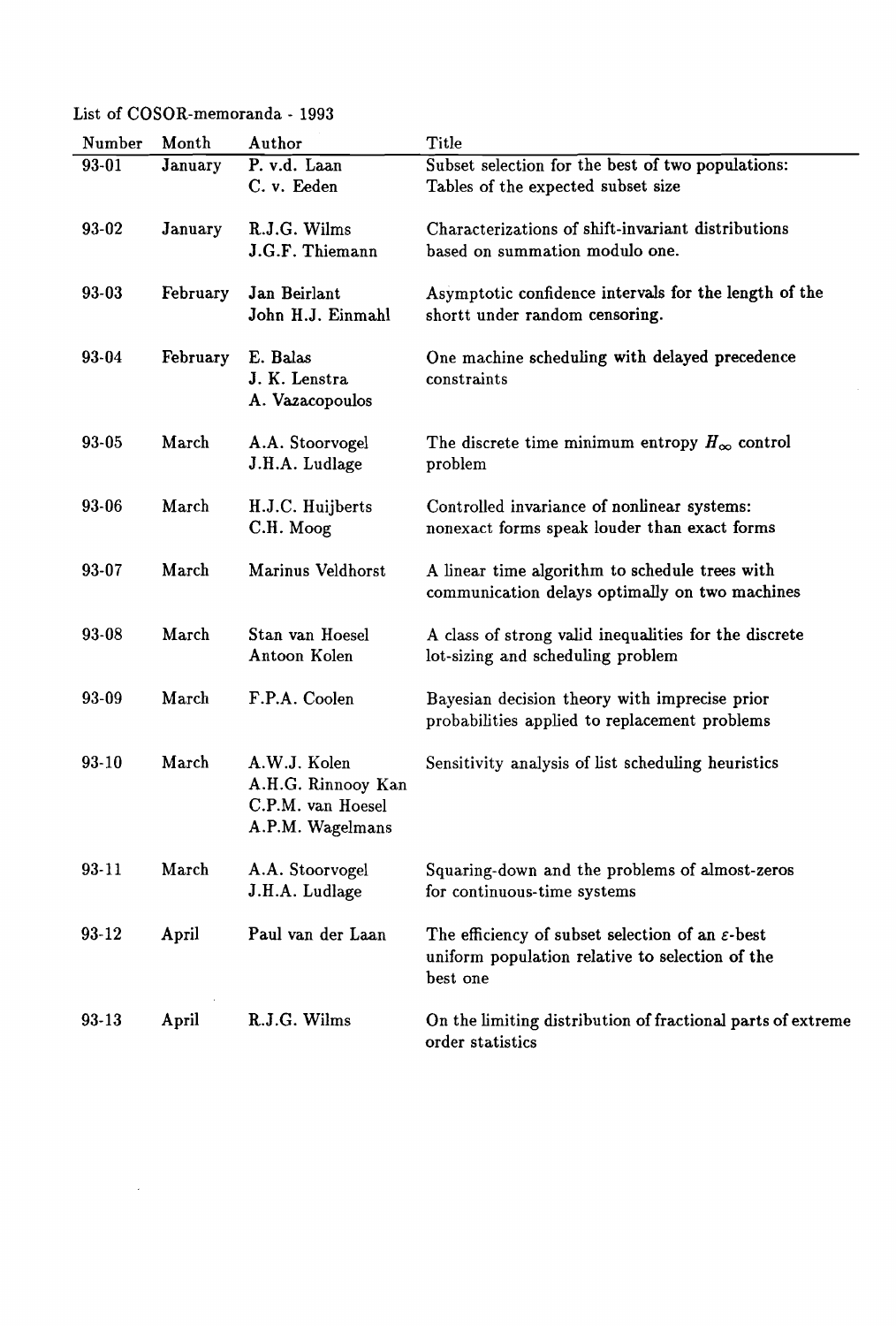List of COSOR-memoranda - 1993

 $\sim 10^6$ 

| Number    | Month    | Author                                                                      | <b>Title</b>                                                                                                                |
|-----------|----------|-----------------------------------------------------------------------------|-----------------------------------------------------------------------------------------------------------------------------|
| 93-01     | January  | P. v.d. Laan<br>C. v. Eeden                                                 | Subset selection for the best of two populations:<br>Tables of the expected subset size                                     |
| $93 - 02$ | January  | R.J.G. Wilms<br>J.G.F. Thiemann                                             | Characterizations of shift-invariant distributions<br>based on summation modulo one.                                        |
| 93-03     | February | Jan Beirlant<br>John H.J. Einmahl                                           | Asymptotic confidence intervals for the length of the<br>shortt under random censoring.                                     |
| 93-04     | February | E. Balas<br>J. K. Lenstra<br>A. Vazacopoulos                                | One machine scheduling with delayed precedence<br>constraints                                                               |
| 93-05     | March    | A.A. Stoorvogel<br>J.H.A. Ludlage                                           | The discrete time minimum entropy $H_{\infty}$ control<br>problem                                                           |
| 93-06     | March    | H.J.C. Huijberts<br>C.H. Moog                                               | Controlled invariance of nonlinear systems:<br>nonexact forms speak louder than exact forms                                 |
| 93-07     | March    | Marinus Veldhorst                                                           | A linear time algorithm to schedule trees with<br>communication delays optimally on two machines                            |
| 93-08     | March    | Stan van Hoesel<br>Antoon Kolen                                             | A class of strong valid inequalities for the discrete<br>lot-sizing and scheduling problem                                  |
| 93-09     | March    | F.P.A. Coolen                                                               | Bayesian decision theory with imprecise prior<br>probabilities applied to replacement problems                              |
| 93-10     | March    | A.W.J. Kolen<br>A.H.G. Rinnooy Kan<br>C.P.M. van Hoesel<br>A.P.M. Wagelmans | Sensitivity analysis of list scheduling heuristics                                                                          |
| 93-11     | March    | A.A. Stoorvogel<br>J.H.A. Ludlage                                           | Squaring-down and the problems of almost-zeros<br>for continuous-time systems                                               |
| $93 - 12$ | April    | Paul van der Laan                                                           | The efficiency of subset selection of an $\varepsilon$ -best<br>uniform population relative to selection of the<br>best one |
| $93 - 13$ | April    | R.J.G. Wilms                                                                | On the limiting distribution of fractional parts of extreme<br>order statistics                                             |

 $\hat{\mathcal{L}}$